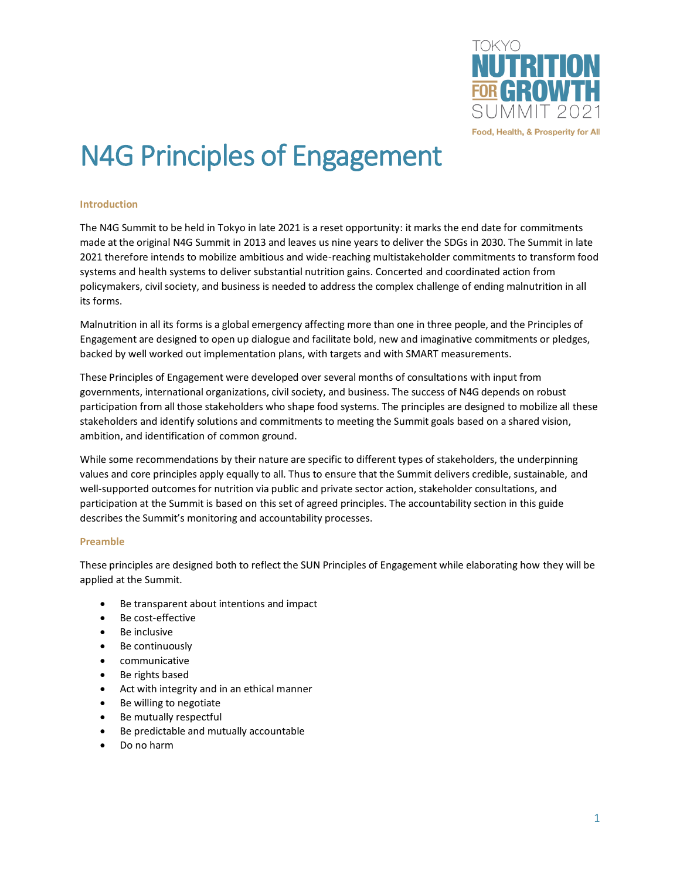

# N4G Principles of Engagement

#### **Introduction**

The N4G Summit to be held in Tokyo in late 2021 is a reset opportunity: it marks the end date for commitments made at the original N4G Summit in 2013 and leaves us nine years to deliver the SDGs in 2030. The Summit in late 2021 therefore intends to mobilize ambitious and wide-reaching multistakeholder commitments to transform food systems and health systems to deliver substantial nutrition gains. Concerted and coordinated action from policymakers, civil society, and business is needed to address the complex challenge of ending malnutrition in all its forms.

Malnutrition in all its forms is a global emergency affecting more than one in three people, and the Principles of Engagement are designed to open up dialogue and facilitate bold, new and imaginative commitments or pledges, backed by well worked out implementation plans, with targets and with SMART measurements.

These Principles of Engagement were developed over several months of consultations with input from governments, international organizations, civil society, and business. The success of N4G depends on robust participation from all those stakeholders who shape food systems. The principles are designed to mobilize all these stakeholders and identify solutions and commitments to meeting the Summit goals based on a shared vision, ambition, and identification of common ground.

While some recommendations by their nature are specific to different types of stakeholders, the underpinning values and core principles apply equally to all. Thus to ensure that the Summit delivers credible, sustainable, and well-supported outcomes for nutrition via public and private sector action, stakeholder consultations, and participation at the Summit is based on this set of agreed principles. The accountability section in this guide describes the Summit's monitoring and accountability processes.

# **Preamble**

These principles are designed both to reflect the SUN Principles of Engagement while elaborating how they will be applied at the Summit.

- Be transparent about intentions and impact
- Be cost-effective
- Be inclusive
- Be continuously
- communicative
- Be rights based
- Act with integrity and in an ethical manner
- Be willing to negotiate
- Be mutually respectful
- Be predictable and mutually accountable
- Do no harm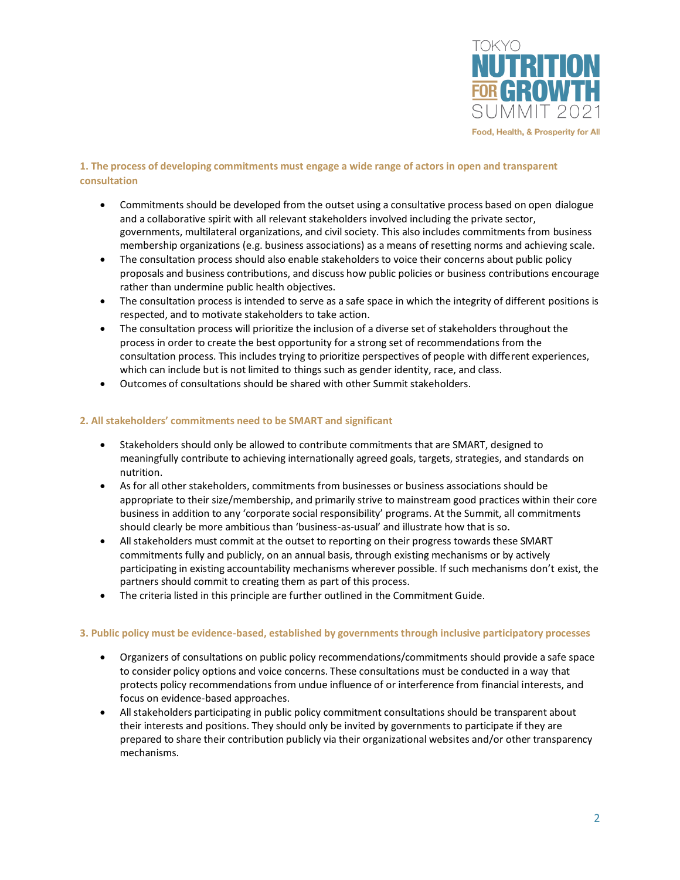

# **1. The process of developing commitments must engage a wide range of actors in open and transparent consultation**

- Commitments should be developed from the outset using a consultative process based on open dialogue and a collaborative spirit with all relevant stakeholders involved including the private sector, governments, multilateral organizations, and civil society. This also includes commitments from business membership organizations (e.g. business associations) as a means of resetting norms and achieving scale.
- The consultation process should also enable stakeholders to voice their concerns about public policy proposals and business contributions, and discuss how public policies or business contributions encourage rather than undermine public health objectives.
- The consultation process is intended to serve as a safe space in which the integrity of different positions is respected, and to motivate stakeholders to take action.
- The consultation process will prioritize the inclusion of a diverse set of stakeholders throughout the process in order to create the best opportunity for a strong set of recommendations from the consultation process. This includes trying to prioritize perspectives of people with different experiences, which can include but is not limited to things such as gender identity, race, and class.
- Outcomes of consultations should be shared with other Summit stakeholders.

# **2. All stakeholders' commitments need to be SMART and significant**

- Stakeholders should only be allowed to contribute commitments that are SMART, designed to meaningfully contribute to achieving internationally agreed goals, targets, strategies, and standards on nutrition.
- As for all other stakeholders, commitments from businesses or business associations should be appropriate to their size/membership, and primarily strive to mainstream good practices within their core business in addition to any 'corporate social responsibility' programs. At the Summit, all commitments should clearly be more ambitious than 'business-as-usual' and illustrate how that is so.
- All stakeholders must commit at the outset to reporting on their progress towards these SMART commitments fully and publicly, on an annual basis, through existing mechanisms or by actively participating in existing accountability mechanisms wherever possible. If such mechanisms don't exist, the partners should commit to creating them as part of this process.
- The criteria listed in this principle are further outlined in the Commitment Guide.

# **3. Public policy must be evidence-based, established by governments through inclusive participatory processes**

- Organizers of consultations on public policy recommendations/commitments should provide a safe space to consider policy options and voice concerns. These consultations must be conducted in a way that protects policy recommendations from undue influence of or interference from financial interests, and focus on evidence-based approaches.
- All stakeholders participating in public policy commitment consultations should be transparent about their interests and positions. They should only be invited by governments to participate if they are prepared to share their contribution publicly via their organizational websites and/or other transparency mechanisms.